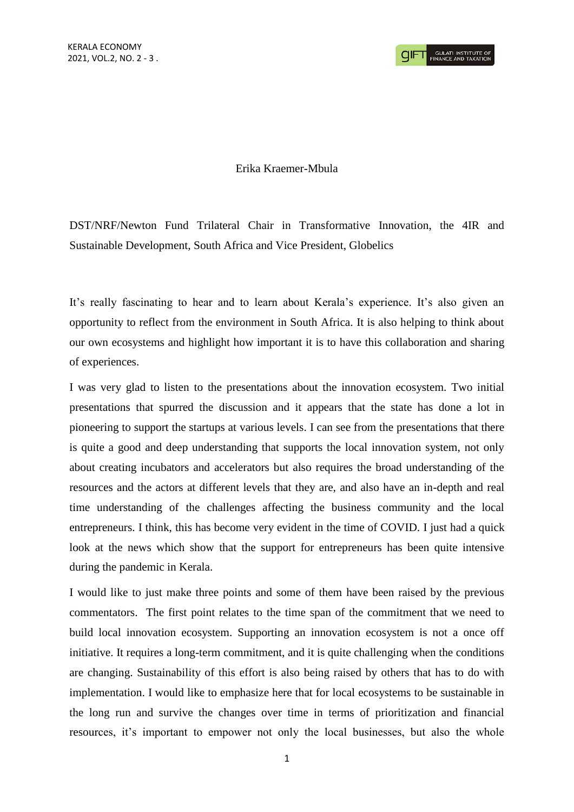## Erika Kraemer-Mbula

DST/NRF/Newton Fund Trilateral Chair in Transformative Innovation, the 4IR and Sustainable Development, South Africa and Vice President, Globelics

It's really fascinating to hear and to learn about Kerala's experience. It's also given an opportunity to reflect from the environment in South Africa. It is also helping to think about our own ecosystems and highlight how important it is to have this collaboration and sharing of experiences.

I was very glad to listen to the presentations about the innovation ecosystem. Two initial presentations that spurred the discussion and it appears that the state has done a lot in pioneering to support the startups at various levels. I can see from the presentations that there is quite a good and deep understanding that supports the local innovation system, not only about creating incubators and accelerators but also requires the broad understanding of the resources and the actors at different levels that they are, and also have an in-depth and real time understanding of the challenges affecting the business community and the local entrepreneurs. I think, this has become very evident in the time of COVID. I just had a quick look at the news which show that the support for entrepreneurs has been quite intensive during the pandemic in Kerala.

I would like to just make three points and some of them have been raised by the previous commentators. The first point relates to the time span of the commitment that we need to build local innovation ecosystem. Supporting an innovation ecosystem is not a once off initiative. It requires a long-term commitment, and it is quite challenging when the conditions are changing. Sustainability of this effort is also being raised by others that has to do with implementation. I would like to emphasize here that for local ecosystems to be sustainable in the long run and survive the changes over time in terms of prioritization and financial resources, it's important to empower not only the local businesses, but also the whole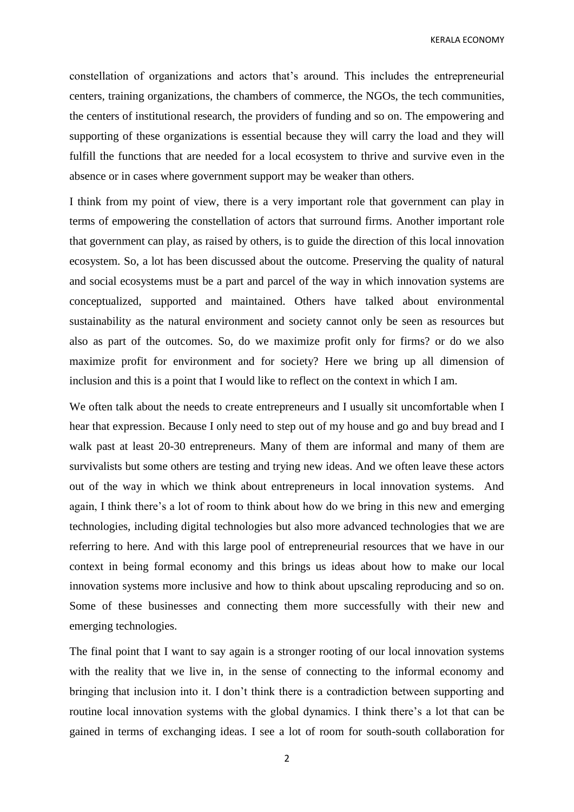KERALA ECONOMY

constellation of organizations and actors that's around. This includes the entrepreneurial centers, training organizations, the chambers of commerce, the NGOs, the tech communities, the centers of institutional research, the providers of funding and so on. The empowering and supporting of these organizations is essential because they will carry the load and they will fulfill the functions that are needed for a local ecosystem to thrive and survive even in the absence or in cases where government support may be weaker than others.

I think from my point of view, there is a very important role that government can play in terms of empowering the constellation of actors that surround firms. Another important role that government can play, as raised by others, is to guide the direction of this local innovation ecosystem. So, a lot has been discussed about the outcome. Preserving the quality of natural and social ecosystems must be a part and parcel of the way in which innovation systems are conceptualized, supported and maintained. Others have talked about environmental sustainability as the natural environment and society cannot only be seen as resources but also as part of the outcomes. So, do we maximize profit only for firms? or do we also maximize profit for environment and for society? Here we bring up all dimension of inclusion and this is a point that I would like to reflect on the context in which I am.

We often talk about the needs to create entrepreneurs and I usually sit uncomfortable when I hear that expression. Because I only need to step out of my house and go and buy bread and I walk past at least 20-30 entrepreneurs. Many of them are informal and many of them are survivalists but some others are testing and trying new ideas. And we often leave these actors out of the way in which we think about entrepreneurs in local innovation systems. And again, I think there's a lot of room to think about how do we bring in this new and emerging technologies, including digital technologies but also more advanced technologies that we are referring to here. And with this large pool of entrepreneurial resources that we have in our context in being formal economy and this brings us ideas about how to make our local innovation systems more inclusive and how to think about upscaling reproducing and so on. Some of these businesses and connecting them more successfully with their new and emerging technologies.

The final point that I want to say again is a stronger rooting of our local innovation systems with the reality that we live in, in the sense of connecting to the informal economy and bringing that inclusion into it. I don't think there is a contradiction between supporting and routine local innovation systems with the global dynamics. I think there's a lot that can be gained in terms of exchanging ideas. I see a lot of room for south-south collaboration for

2